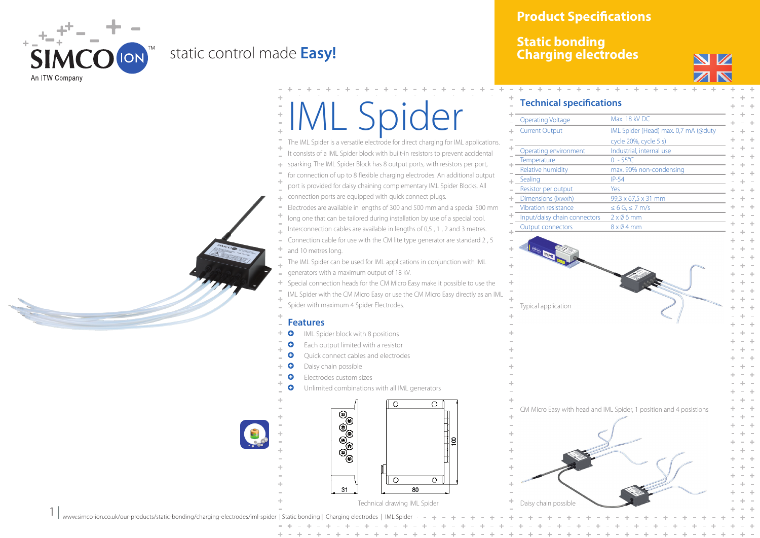

 $1 |$ 

## static control made **Easy!**

**Product Specifications**

## **Static bonding Charging electrodes**



## IML Spider

The IML Spider is a versatile electrode for direct charging for IML applications. It consists of a IML Spider block with built-in resistors to prevent accidental sparking. The IML Spider Block has 8 output ports, with resistors per port, for connection of up to 8 flexible charging electrodes. An additional output port is provided for daisy chaining complementary IML Spider Blocks. All connection ports are equipped with quick connect plugs. Electrodes are available in lengths of 300 and 500 mm and a special 500 mm long one that can be tailored during installation by use of a special tool. Interconnection cables are available in lengths of 0,5 , 1 , 2 and 3 metres. Connection cable for use with the CM lite type generator are standard 2 , 5 and 10 metres long. The IML Spider can be used for IML applications in conjunction with IML generators with a maximum output of 18 kV. Special connection heads for the CM Micro Easy make it possible to use the IML Spider with the CM Micro Easy or use the CM Micro Easy directly as an IML Spider with maximum 4 Spider Electrodes. **Features Q** IML Spider block with 8 positions **Q** Each output limited with a resistor **Q** Ouick connect cables and electrodes **Q** Daisy chain possible **Q** Electrodes custom sizes **Q** Unlimited combinations with all IML generators  $\overline{O}$  $\cap$ 99999

 $\circ$ 

 $\overline{80}$ 

 $\overline{\Omega}$ 

| <b>Operating Voltage</b>     | Max. 18 kV DC                        |
|------------------------------|--------------------------------------|
| <b>Current Output</b>        | IML Spider (Head) max. 0,7 mA (@duty |
|                              | cycle 20%, cycle 5 s)                |
| Operating environment        | Industrial, internal use             |
| Temperature                  | $0 - 55^{\circ}$ C                   |
| Relative humidity            | max. 90% non-condensing              |
| Sealing                      | $IP-54$                              |
| Resistor per output          | Yes                                  |
| Dimensions (Ixwxh)           | 99,3 x 67,5 x 31 mm                  |
| Vibration resistance         | $\leq 6$ G, $\leq 7$ m/s             |
| Input/daisy chain connectors | $2 \times 06$ mm                     |
| <b>Output connectors</b>     | $8 \times 04$ mm                     |



 $31$ 

www.simco-ion.co.uk/our-products/static-bonding/charging-electrodes/iml-spider